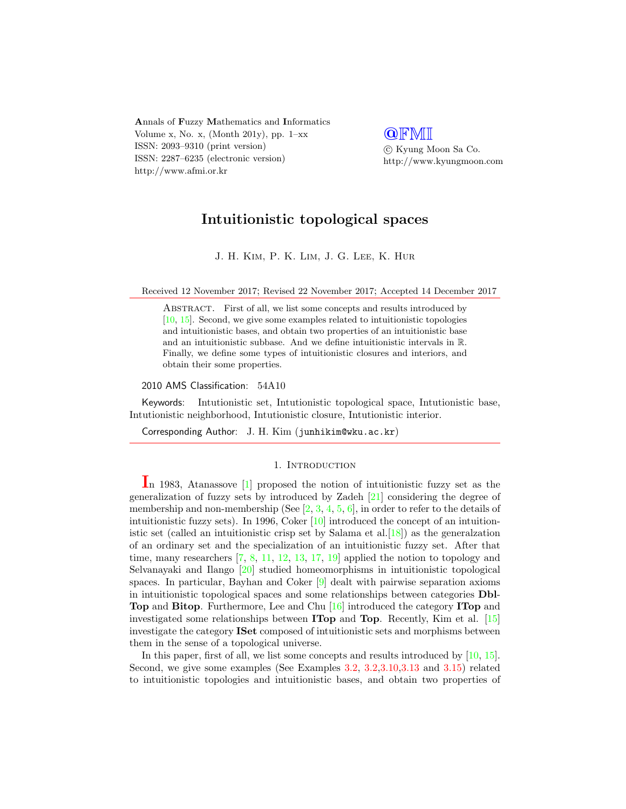Annals of Fuzzy Mathematics and Informatics Volume x, No. x, (Month 201y), pp.  $1-xx$ ISSN: 2093–9310 (print version) ISSN: 2287–6235 (electronic version) http://www.afmi.or.kr

**QFMI**  c Kyung Moon Sa Co. http://www.kyungmoon.com

# Intuitionistic topological spaces

J. H. Kim, P. K. Lim, J. G. Lee, K. Hur

Received 12 November 2017; Revised 22 November 2017; Accepted 14 December 2017

ABSTRACT. First of all, we list some concepts and results introduced by [\[10,](#page-17-0) [15\]](#page-17-1). Second, we give some examples related to intuitionistic topologies and intuitionistic bases, and obtain two properties of an intuitionistic base and an intuitionistic subbase. And we define intuitionistic intervals in R. Finally, we define some types of intuitionistic closures and interiors, and obtain their some properties.

2010 AMS Classification: 54A10

Keywords: Intutionistic set, Intutionistic topological space, Intutionistic base, Intutionistic neighborhood, Intutionistic closure, Intutionistic interior.

Corresponding Author: J. H. Kim (junhikim@wku.ac.kr)

# 1. INTRODUCTION

In 1983, Atanassove [\[1\]](#page-16-0) proposed the notion of intuitionistic fuzzy set as the generalization of fuzzy sets by introduced by Zadeh [\[21\]](#page-17-2) considering the degree of membership and non-membership (See  $[2, 3, 4, 5, 6]$  $[2, 3, 4, 5, 6]$  $[2, 3, 4, 5, 6]$  $[2, 3, 4, 5, 6]$  $[2, 3, 4, 5, 6]$  $[2, 3, 4, 5, 6]$  $[2, 3, 4, 5, 6]$  $[2, 3, 4, 5, 6]$ , in order to refer to the details of intuitionistic fuzzy sets). In 1996, Coker  $[10]$  introduced the concept of an intuitionistic set (called an intuitionistic crisp set by Salama et al.  $[18]$ ) as the generalization of an ordinary set and the specialization of an intuitionistic fuzzy set. After that time, many researchers [\[7,](#page-17-6) [8,](#page-17-7) [11,](#page-17-8) [12,](#page-17-9) [13,](#page-17-10) [17,](#page-17-11) [19\]](#page-17-12) applied the notion to topology and Selvanayaki and Ilango [\[20\]](#page-17-13) studied homeomorphisms in intuitionistic topological spaces. In particular, Bayhan and Coker [\[9\]](#page-17-14) dealt with pairwise separation axioms in intuitionistic topological spaces and some relationships between categories Dbl-Top and Bitop. Furthermore, Lee and Chu [\[16\]](#page-17-15) introduced the category ITop and investigated some relationships between ITop and Top. Recently, Kim et al. [\[15\]](#page-17-1) investigate the category ISet composed of intuitionistic sets and morphisms between them in the sense of a topological universe.

In this paper, first of all, we list some concepts and results introduced by [\[10,](#page-17-0) [15\]](#page-17-1). Second, we give some examples (See Examples 3.2, 3.2,3.10,3.13 and 3.15) related to intuitionistic topologies and intuitionistic bases, and obtain two properties of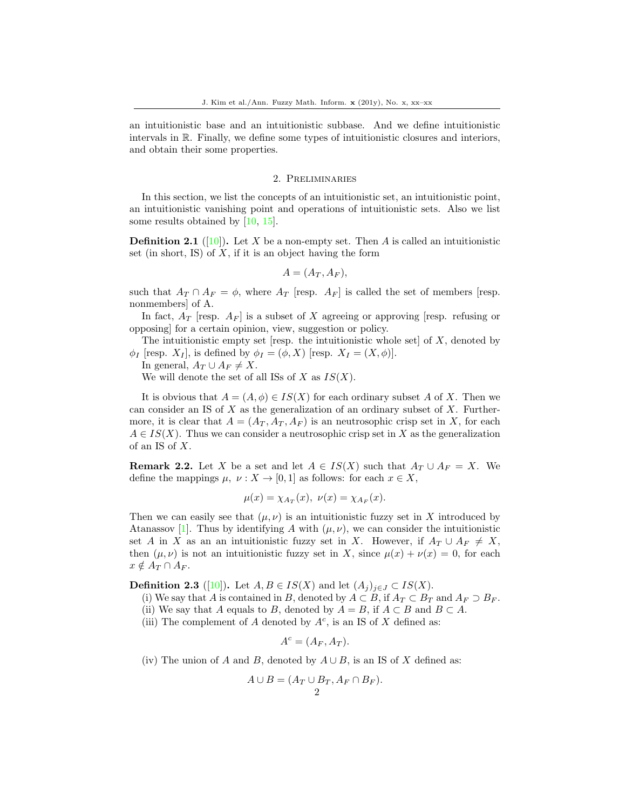an intuitionistic base and an intuitionistic subbase. And we define intuitionistic intervals in R. Finally, we define some types of intuitionistic closures and interiors, and obtain their some properties.

#### 2. Preliminaries

In this section, we list the concepts of an intuitionistic set, an intuitionistic point, an intuitionistic vanishing point and operations of intuitionistic sets. Also we list some results obtained by [\[10,](#page-17-0) [15\]](#page-17-1).

**Definition 2.1** ([\[10\]](#page-17-0)). Let X be a non-empty set. Then A is called an intuitionistic set (in short, IS) of  $X$ , if it is an object having the form

$$
A=(A_T,A_F),
$$

such that  $A_T \cap A_F = \phi$ , where  $A_T$  [resp.  $A_F$ ] is called the set of members [resp. nonmembers] of A.

In fact,  $A_T$  [resp.  $A_F$ ] is a subset of X agreeing or approving [resp. refusing or opposing] for a certain opinion, view, suggestion or policy.

The intuitionistic empty set [resp. the intuitionistic whole set] of  $X$ , denoted by  $\phi_I$  [resp.  $X_I$ ], is defined by  $\phi_I = (\phi, X)$  [resp.  $X_I = (X, \phi)$ ].

In general,  $A_T \cup A_F \neq X$ .

We will denote the set of all ISs of X as  $IS(X)$ .

It is obvious that  $A = (A, \phi) \in IS(X)$  for each ordinary subset A of X. Then we can consider an IS of  $X$  as the generalization of an ordinary subset of  $X$ . Furthermore, it is clear that  $A = (A_T, A_T, A_F)$  is an neutrosophic crisp set in X, for each  $A \in IS(X)$ . Thus we can consider a neutrosophic crisp set in X as the generalization of an IS of X.

**Remark 2.2.** Let X be a set and let  $A \in IS(X)$  such that  $A_T \cup A_F = X$ . We define the mappings  $\mu, \nu : X \to [0, 1]$  as follows: for each  $x \in X$ ,

$$
\mu(x) = \chi_{A_T}(x), \ \nu(x) = \chi_{A_F}(x).
$$

Then we can easily see that  $(\mu, \nu)$  is an intuitionistic fuzzy set in X introduced by Atanassov [\[1\]](#page-16-0). Thus by identifying A with  $(\mu, \nu)$ , we can consider the intuitionistic set A in X as an an intuitionistic fuzzy set in X. However, if  $A_T \cup A_F \neq X$ , then  $(\mu, \nu)$  is not an intuitionistic fuzzy set in X, since  $\mu(x) + \nu(x) = 0$ , for each  $x \notin A_T \cap A_F.$ 

**Definition 2.3** ([\[10\]](#page-17-0)). Let  $A, B \in IS(X)$  and let  $(A_j)_{j \in J} \subset IS(X)$ .

- (i) We say that A is contained in B, denoted by  $A \subset B$ , if  $A_T \subset B_T$  and  $A_F \supset B_F$ .
- (ii) We say that A equals to B, denoted by  $A = B$ , if  $A \subset B$  and  $B \subset A$ .
- (iii) The complement of A denoted by  $A^c$ , is an IS of X defined as:

$$
A^c = (A_F, A_T).
$$

(iv) The union of A and B, denoted by  $A \cup B$ , is an IS of X defined as:

$$
A \cup B = (A_T \cup B_T, A_F \cap B_F).
$$
  
2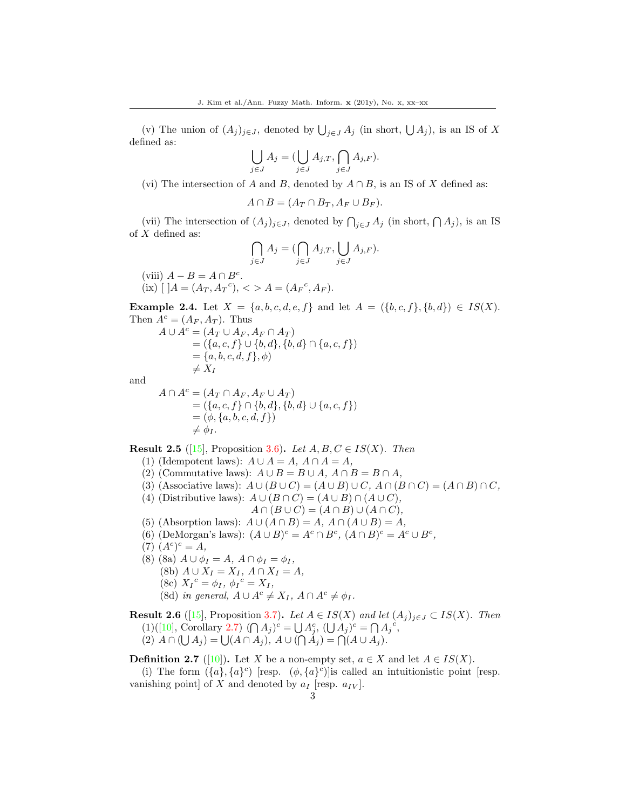(v) The union of  $(A_j)_{j\in J}$ , denoted by  $\bigcup_{j\in J} A_j$  (in short,  $\bigcup A_j$ ), is an IS of X defined as:

$$
\bigcup_{j \in J} A_j = (\bigcup_{j \in J} A_{j,T}, \bigcap_{j \in J} A_{j,F}).
$$

(vi) The intersection of A and B, denoted by  $A \cap B$ , is an IS of X defined as:

$$
A \cap B = (A_T \cap B_T, A_F \cup B_F).
$$

(vii) The intersection of  $(A_j)_{j\in J}$ , denoted by  $\bigcap_{j\in J} A_j$  (in short,  $\bigcap A_j$ ), is an IS of  $X$  defined as:

$$
\bigcap_{j\in J} A_j = (\bigcap_{j\in J} A_{j,T}, \bigcup_{j\in J} A_{j,F}).
$$

(viii)  $A - B = A \cap B^c$ .  $(ix)$  [ ] $A = (A_T, A_T^c),$  < >  $A = (A_F^c, A_F).$ 

**Example 2.4.** Let  $X = \{a, b, c, d, e, f\}$  and let  $A = (\{b, c, f\}, \{b, d\}) \in IS(X)$ . Then  $A^c = (A_F, A_T)$ . Thus

$$
A \cup A^{c} = (A_{T} \cup A_{F}, A_{F} \cap A_{T})
$$
  
= (\{a, c, f\} \cup \{b, d\}, \{b, d\} \cap \{a, c, f\})  
= \{a, b, c, d, f\}, \phi)  
 $\neq X_{I}$ 

and

$$
A \cap A^{c} = (A_{T} \cap A_{F}, A_{F} \cup A_{T})
$$
  
= (\{a, c, f\} \cap \{b, d\}, \{b, d\} \cup \{a, c, f\})  
= (\phi, \{a, b, c, d, f\})  
 $\neq \phi_{I}.$ 

**Result 2.5** ([\[15\]](#page-17-1), Proposition 3.6). Let  $A, B, C \in IS(X)$ . Then

- (1) (Idempotent laws):  $A \cup A = A$ ,  $A \cap A = A$ ,
- (2) (Commutative laws):  $A \cup B = B \cup A$ ,  $A \cap B = B \cap A$ ,

(3) (Associative laws): 
$$
A \cup (B \cup C) = (A \cup B) \cup C
$$
,  $A \cap (B \cap C) = (A \cap B) \cap C$ ,

(4) (Distributive laws):  $A \cup (B \cap C) = (A \cup B) \cap (A \cup C)$ ,

$$
A \cap (B \cup C) = (A \cap B) \cup (A \cap C),
$$

- (5) (Absorption laws):  $A \cup (A \cap B) = A$ ,  $A \cap (A \cup B) = A$ ,
- (6) (DeMorgan's laws):  $(A \cup B)^c = A^c \cap B^c$ ,  $(A \cap B)^c = A^c \cup B^c$ ,
- $(7) (A^c)^c = A,$
- (8) (8a)  $A \cup \phi_I = A, A \cap \phi_I = \phi_I,$ 
	- (8b)  $A \cup X_I = X_I, A \cap X_I = A$ ,
	- (8c)  $X_I{}^c = \phi_I, \, \phi_I{}^c = X_I,$
	- (8d) in general,  $A \cup A^c \neq X_I$ ,  $A \cap A^c \neq \phi_I$ .

**Result 2.6** ([\[15\]](#page-17-1), Proposition 3.7). Let  $A \in IS(X)$  and let  $(A_j)_{j \in J} \subset IS(X)$ . Then (1)([\[10\]](#page-17-0), Corollary 2.7)  $(\bigcap A_j)^c = \bigcup A_j^c$ ,  $(\bigcup A_j)^c = \bigcap A_j^c$ , (2)  $A \cap (\bigcup A_j) = \bigcup (A \cap A_j), A \cup (\bigcap A_j) = \bigcap (A \cup A_j).$ 

**Definition 2.7** ([\[10\]](#page-17-0)). Let X be a non-empty set,  $a \in X$  and let  $A \in IS(X)$ .

(i) The form  $({a}, {a}^c)$  [resp.  $(\phi, {a}^c)$ ] is called an intuitionistic point [resp. vanishing point] of X and denoted by  $a_I$  [resp.  $a_{IV}$ ].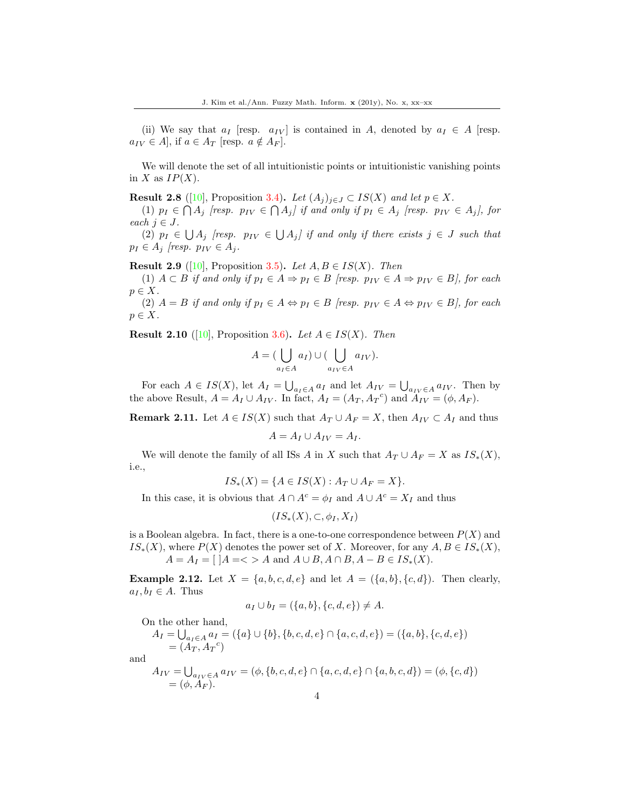(ii) We say that  $a_I$  [resp.  $a_{IV}$ ] is contained in A, denoted by  $a_I \in A$  [resp.  $a_{IV} \in A$ , if  $a \in A_{T}$  [resp.  $a \notin A_{F}$ ].

We will denote the set of all intuitionistic points or intuitionistic vanishing points in X as  $IP(X)$ .

**Result 2.8** ([\[10\]](#page-17-0), Proposition 3.4). Let  $(A_j)_{j\in J} \subset IS(X)$  and let  $p \in X$ .

(1)  $p_I \in \bigcap A_j$  [resp.  $p_{IV} \in \bigcap A_j$ ] if and only if  $p_I \in A_j$  [resp.  $p_{IV} \in A_j$ ], for each  $j \in J$ .

(2)  $p_I \in \bigcup A_j$  [resp.  $p_{IV} \in \bigcup A_j$ ] if and only if there exists  $j \in J$  such that  $p_I \in A_j$  [resp.  $p_{IV} \in A_j$ .

**Result 2.9** ([\[10\]](#page-17-0), Proposition 3.5). Let  $A, B \in IS(X)$ . Then

(1)  $A \subset B$  if and only if  $p_I \in A \Rightarrow p_I \in B$  [resp.  $p_{IV} \in A \Rightarrow p_{IV} \in B$ ], for each  $p \in X$ .

(2)  $A = B$  if and only if  $p_I \in A \Leftrightarrow p_I \in B$  [resp.  $p_{IV} \in A \Leftrightarrow p_{IV} \in B$ ], for each  $p \in X$ .

**Result 2.10** ([\[10\]](#page-17-0), Proposition 3.6). Let  $A \in IS(X)$ . Then

$$
A = (\bigcup_{a_I \in A} a_I) \cup (\bigcup_{a_{IV} \in A} a_{IV}).
$$

For each  $A \in IS(X)$ , let  $A_I = \bigcup_{a_I \in A} a_I$  and let  $A_{IV} = \bigcup_{a_{IV} \in A} a_{IV}$ . Then by the above Result,  $A = A_I \cup A_{IV}$ . In fact,  $A_I = (A_T, A_T{}^c)$  and  $A_{IV} = (\phi, A_F)$ .

**Remark 2.11.** Let  $A \in IS(X)$  such that  $A_T \cup A_F = X$ , then  $A_{IV} \subset A_I$  and thus

$$
A = A_I \cup A_{IV} = A_I.
$$

We will denote the family of all ISs A in X such that  $A_T \cup A_F = X$  as  $IS_*(X)$ , i.e.,

$$
IS_*(X) = \{ A \in IS(X) : A_T \cup A_F = X \}.
$$

In this case, it is obvious that  $A \cap A^c = \phi_I$  and  $A \cup A^c = X_I$  and thus

$$
(IS_*(X), \subset, \phi_I, X_I)
$$

is a Boolean algebra. In fact, there is a one-to-one correspondence between  $P(X)$  and  $IS_*(X)$ , where  $P(X)$  denotes the power set of X. Moreover, for any  $A, B \in IS_*(X)$ ,  $A = A_I = [ |A = \langle \rangle A \text{ and } A \cup B, A \cap B, A - B \in IS_*(X).$ 

**Example 2.12.** Let  $X = \{a, b, c, d, e\}$  and let  $A = \{\{a, b\}, \{c, d\}\}\$ . Then clearly,  $a_I, b_I \in A$ . Thus

$$
a_I \cup b_I = (\{a, b\}, \{c, d, e\}) \neq A.
$$

On the other hand,

$$
A_I = \bigcup_{a_I \in A} a_I = (\{a\} \cup \{b\}, \{b, c, d, e\} \cap \{a, c, d, e\}) = (\{a, b\}, \{c, d, e\})
$$
  
=  $(A_T, A_T^c)$ 

and

$$
A_{IV} = \bigcup_{a_{IV} \in A} a_{IV} = (\phi, \{b, c, d, e\} \cap \{a, c, d, e\} \cap \{a, b, c, d\}) = (\phi, \{c, d\})
$$
  
= (\phi, A<sub>F</sub>).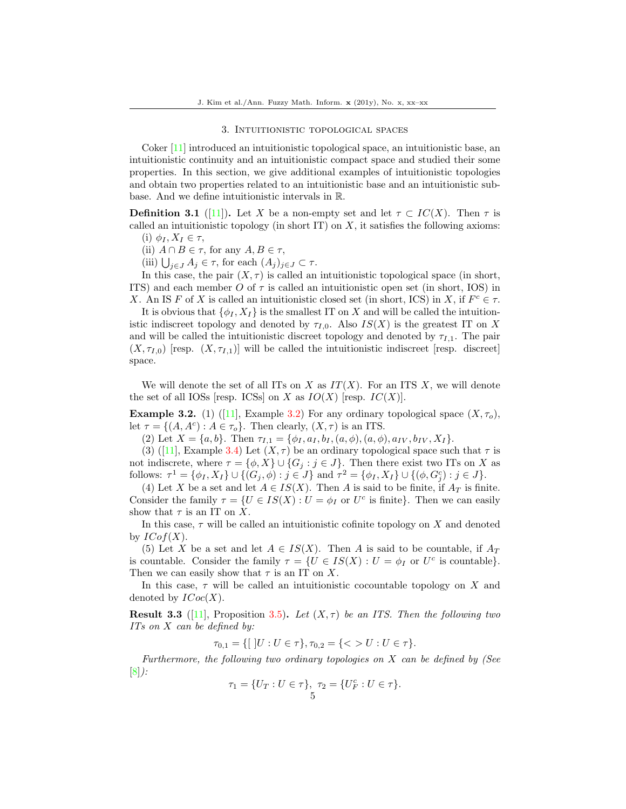#### 3. Intuitionistic topological spaces

Coker [\[11\]](#page-17-8) introduced an intuitionistic topological space, an intuitionistic base, an intuitionistic continuity and an intuitionistic compact space and studied their some properties. In this section, we give additional examples of intuitionistic topologies and obtain two properties related to an intuitionistic base and an intuitionistic subbase. And we define intuitionistic intervals in R.

**Definition 3.1** ([\[11\]](#page-17-8)). Let X be a non-empty set and let  $\tau \subset IC(X)$ . Then  $\tau$  is called an intuitionistic topology (in short IT) on  $X$ , it satisfies the following axioms: (i)  $\phi_I, X_I \in \tau$ ,

- 
- (ii)  $A \cap B \in \tau$ , for any  $A, B \in \tau$ ,
- (iii)  $\bigcup_{j\in J} A_j \in \tau$ , for each  $(A_j)_{j\in J} \subset \tau$ .

In this case, the pair  $(X, \tau)$  is called an intuitionistic topological space (in short, ITS) and each member O of  $\tau$  is called an intuitionistic open set (in short, IOS) in X. An IS F of X is called an intuitionistic closed set (in short, ICS) in X, if  $F^c \in \tau$ .

It is obvious that  $\{\phi_I, X_I\}$  is the smallest IT on X and will be called the intuitionistic indiscreet topology and denoted by  $\tau_{I,0}$ . Also  $IS(X)$  is the greatest IT on X and will be called the intuitionistic discreet topology and denoted by  $\tau_{L,1}$ . The pair  $(X, \tau_{I,0})$  [resp.  $(X, \tau_{I,1})$ ] will be called the intuitionistic indiscreet [resp. discreet] space.

We will denote the set of all ITs on X as  $IT(X)$ . For an ITS X, we will denote the set of all IOSs [resp. ICSs] on X as  $IO(X)$  [resp.  $IC(X)$ ].

**Example3.2.** (1) ([\[11\]](#page-17-8), Example 3.2) For any ordinary topological space  $(X, \tau_o)$ , let  $\tau = \{(A, A^c) : A \in \tau_o\}$ . Then clearly,  $(X, \tau)$  is an ITS.

(2) Let  $X = \{a, b\}$ . Then  $\tau_{I,1} = \{\phi_I, a_I, b_I, (a, \phi), (a, \phi), a_{IV}, b_{IV}, X_I\}$ .

(3)([\[11\]](#page-17-8), Example 3.4) Let  $(X, \tau)$  be an ordinary topological space such that  $\tau$  is not indiscrete, where  $\tau = {\phi, X} \cup {G_j : j \in J}$ . Then there exist two ITs on X as follows:  $\tau^1 = \{\phi_I, X_I\} \cup \{(G_j, \phi) : j \in J\}$  and  $\tau^2 = \{\phi_I, X_I\} \cup \{(\phi, G_j^c) : j \in J\}$ .

(4) Let X be a set and let  $A \in IS(X)$ . Then A is said to be finite, if  $A_T$  is finite. Consider the family  $\tau = \{U \in IS(X) : U = \phi_I \text{ or } U^c \text{ is finite}\}\.$  Then we can easily show that  $\tau$  is an IT on X.

In this case,  $\tau$  will be called an intuitionistic cofinite topology on X and denoted by  $ICof(X)$ .

(5) Let X be a set and let  $A \in IS(X)$ . Then A is said to be countable, if  $A_T$ is countable. Consider the family  $\tau = \{U \in IS(X) : U = \phi_I \text{ or } U^c \text{ is countable}\}.$ Then we can easily show that  $\tau$  is an IT on X.

In this case,  $\tau$  will be called an intuitionistic cocountable topology on X and denoted by  $\text{ICoc}(X)$ .

**Result 3.3** ([\[11\]](#page-17-8), Proposition 3.5). Let  $(X, \tau)$  be an ITS. Then the following two ITs on X can be defined by:

 $\tau_{0,1} = \{ [ |U : U \in \tau \}, \tau_{0,2} = \{ \langle \rangle U : U \in \tau \}.$ 

Furthermore, the following two ordinary topologies on  $X$  can be defined by (See [\[8\]](#page-17-7)):

$$
\tau_1 = \{U_T : U \in \tau\}, \ \tau_2 = \{U_F^c : U \in \tau\}.
$$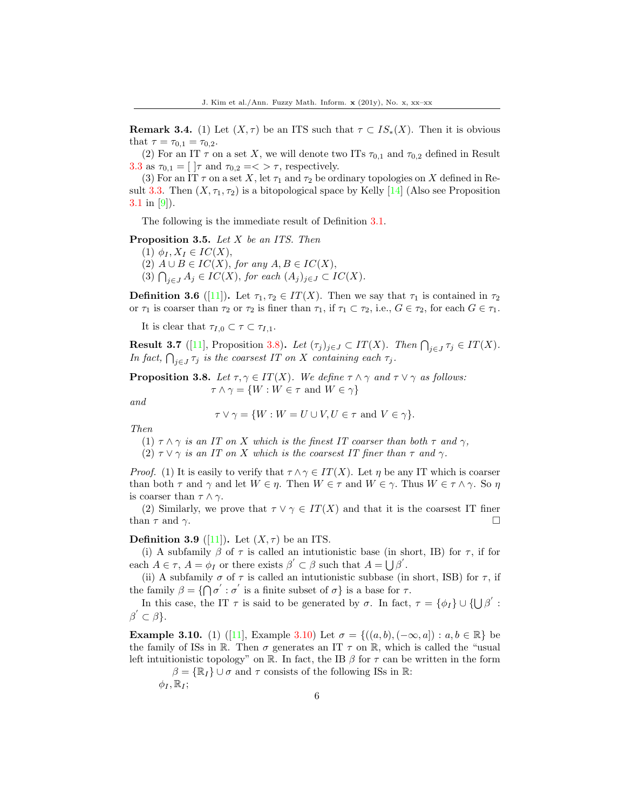**Remark 3.4.** (1) Let  $(X, \tau)$  be an ITS such that  $\tau \subset IS_*(X)$ . Then it is obvious that  $\tau = \tau_{0.1} = \tau_{0.2}$ .

(2) For an IT  $\tau$  on a set X, we will denote two ITs  $\tau_{0,1}$  and  $\tau_{0,2}$  defined in Result 3.3 as  $\tau_{0,1} = \left[ \begin{array}{c} \vert \tau \vert \text{ and } \tau_{0,2} = \langle \tau \rangle \tau \text{, respectively.} \end{array} \right]$ 

(3) For an IT  $\tau$  on a set X, let  $\tau_1$  and  $\tau_2$  be ordinary topologies on X defined in Result 3.3. Then  $(X, \tau_1, \tau_2)$  is a bitopological space by Kelly [\[14\]](#page-17-16) (Also see Proposition 3.1 in [\[9\]](#page-17-14)).

The following is the immediate result of Definition 3.1.

Proposition 3.5. Let X be an ITS. Then

- (1)  $\phi_I, X_I \in IC(X),$
- (2)  $A \cup B \in IC(X)$ , for any  $A, B \in IC(X)$ ,
- (3)  $\bigcap_{j\in J} A_j \in IC(X)$ , for each  $(A_j)_{j\in J} \subset IC(X)$ .

**Definition 3.6** ([\[11\]](#page-17-8)). Let  $\tau_1, \tau_2 \in IT(X)$ . Then we say that  $\tau_1$  is contained in  $\tau_2$ or  $\tau_1$  is coarser than  $\tau_2$  or  $\tau_2$  is finer than  $\tau_1$ , if  $\tau_1 \subset \tau_2$ , i.e.,  $G \in \tau_2$ , for each  $G \in \tau_1$ .

It is clear that  $\tau_{I,0} \subset \tau \subset \tau_{I,1}$ .

**Result 3.7** ([\[11\]](#page-17-8), Proposition 3.8). Let  $(\tau_j)_{j \in J} \subset IT(X)$ . Then  $\bigcap_{j \in J} \tau_j \in IT(X)$ . In fact,  $\bigcap_{j\in J}\tau_j$  is the coarsest IT on X containing each  $\tau_j$ .

**Proposition 3.8.** Let  $\tau, \gamma \in IT(X)$ . We define  $\tau \wedge \gamma$  and  $\tau \vee \gamma$  as follows:  $\tau \wedge \gamma = \{W : W \in \tau \text{ and } W \in \gamma\}$ 

and

$$
\tau \vee \gamma = \{ W : W = U \cup V, U \in \tau \text{ and } V \in \gamma \}.
$$

Then

- (1)  $\tau \wedge \gamma$  is an IT on X which is the finest IT coarser than both  $\tau$  and  $\gamma$ ,
- (2)  $\tau \vee \gamma$  is an IT on X which is the coarsest IT finer than  $\tau$  and  $\gamma$ .

*Proof.* (1) It is easily to verify that  $\tau \wedge \gamma \in IT(X)$ . Let  $\eta$  be any IT which is coarser than both  $\tau$  and  $\gamma$  and let  $W \in \eta$ . Then  $W \in \tau$  and  $W \in \gamma$ . Thus  $W \in \tau \wedge \gamma$ . So  $\eta$ is coarser than  $\tau \wedge \gamma$ .

(2) Similarly, we prove that  $\tau \vee \gamma \in IT(X)$  and that it is the coarsest IT finer than  $\tau$  and  $\gamma$ .

#### **Definition 3.9** ([\[11\]](#page-17-8)). Let  $(X, \tau)$  be an ITS.

(i) A subfamily  $\beta$  of  $\tau$  is called an intutionistic base (in short, IB) for  $\tau$ , if for each  $A \in \tau$ ,  $A = \phi_I$  or there exists  $\beta' \subset \beta$  such that  $A = \bigcup \beta'$ .

(ii) A subfamily  $\sigma$  of  $\tau$  is called an intutionistic subbase (in short, ISB) for  $\tau$ , if the family  $\beta = \{ \bigcap \sigma' : \sigma' \text{ is a finite subset of } \sigma \} \text{ is a base for } \tau.$ 

In this case, the IT  $\tau$  is said to be generated by  $\sigma$ . In fact,  $\tau = {\phi_I} \cup {\{\bigcup \beta' : \}}$  $\beta' \subset \beta$ .

**Example3.10.** (1) ([\[11\]](#page-17-8), Example 3.10) Let  $\sigma = \{((a, b), (-\infty, a]) : a, b \in \mathbb{R}\}\)$ the family of ISs in  $\mathbb R$ . Then  $\sigma$  generates an IT  $\tau$  on  $\mathbb R$ , which is called the "usual left intuitionistic topology" on R. In fact, the IB  $\beta$  for  $\tau$  can be written in the form

 $\beta = {\mathbb{R}_I} \cup \sigma$  and  $\tau$  consists of the following ISs in R:

 $\phi_I, \mathbb{R}_I;$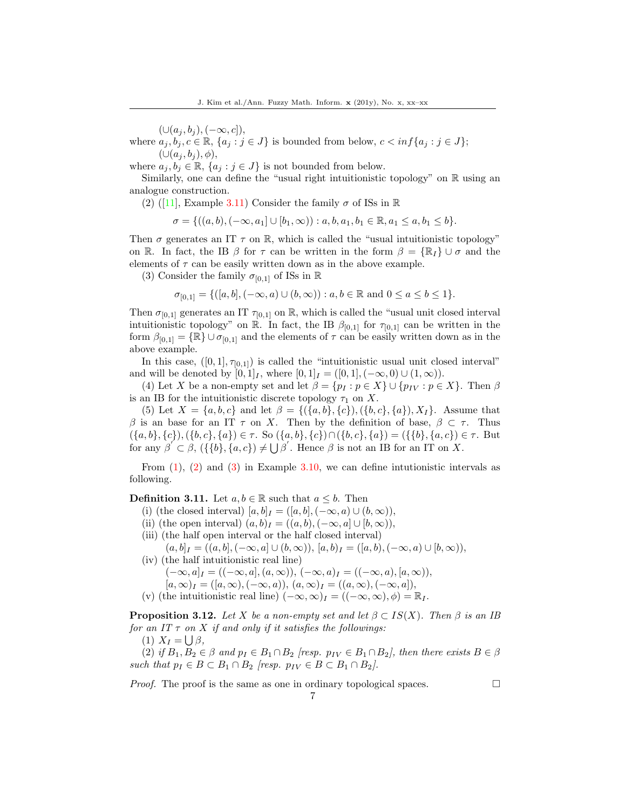$(\cup (a_j, b_j), (-\infty, c]),$ 

where  $a_i, b_i, c \in \mathbb{R}$ ,  $\{a_i : j \in J\}$  is bounded from below,  $c < \inf\{a_i : j \in J\}$ ;  $(\cup (a_j, b_j), \phi),$ 

where  $a_j, b_j \in \mathbb{R}$ ,  $\{a_j : j \in J\}$  is not bounded from below.

Similarly, one can define the "usual right intuitionistic topology" on  $\mathbb R$  using an analogue construction.

(2)([\[11\]](#page-17-8), Example 3.11) Consider the family  $\sigma$  of ISs in R

$$
\sigma = \{ ((a, b), (-\infty, a_1] \cup [b_1, \infty)) : a, b, a_1, b_1 \in \mathbb{R}, a_1 \le a, b_1 \le b \}.
$$

Then  $\sigma$  generates an IT  $\tau$  on R, which is called the "usual intuitionistic topology" on R. In fact, the IB  $\beta$  for  $\tau$  can be written in the form  $\beta = {\mathbb{R}}_I$   $\cup$   $\sigma$  and the elements of  $\tau$  can be easily written down as in the above example.

(3) Consider the family  $\sigma_{[0,1]}$  of ISs in R

$$
\sigma_{[0,1]} = \{([a,b], (-\infty, a) \cup (b, \infty)) : a, b \in \mathbb{R} \text{ and } 0 \le a \le b \le 1\}.
$$

Then  $\sigma_{[0,1]}$  generates an IT  $\tau_{[0,1]}$  on R, which is called the "usual unit closed interval" intuitionistic topology" on R. In fact, the IB  $\beta_{[0,1]}$  for  $\tau_{[0,1]}$  can be written in the form  $\beta_{[0,1]} = {\mathbb{R}} \cup \sigma_{[0,1]}$  and the elements of  $\tau$  can be easily written down as in the above example.

In this case,  $([0,1], \tau_{[0,1]})$  is called the "intuitionistic usual unit closed interval" and will be denoted by  $[0, 1]_I$ , where  $[0, 1]_I = ([0, 1], (-\infty, 0) \cup (1, \infty)).$ 

(4) Let X be a non-empty set and let  $\beta = \{p_I : p \in X\} \cup \{p_{IV} : p \in X\}$ . Then  $\beta$ is an IB for the intuitionistic discrete topology  $\tau_1$  on X.

(5) Let  $X = \{a, b, c\}$  and let  $\beta = \{(\{a, b\}, \{c\}), (\{b, c\}, \{a\}), X_I\}$ . Assume that β is an base for an IT  $\tau$  on X. Then by the definition of base,  $\beta \subset \tau$ . Thus  $({a, b}, {c}), ({b, c}, {a}) \in \tau$ . So  $({a, b}, {c}) \cap ({b, c}, {a}) = ({b}, {a, c}) \in \tau$ . But for any  $\beta' \subset \beta$ ,  $({\{b\}, \{a, c\}) \neq \bigcup \beta'$ . Hence  $\beta$  is not an IB for an IT on X.

From  $(1)$ ,  $(2)$  and  $(3)$  in Example 3.10, we can define intutionistic intervals as following.

**Definition 3.11.** Let  $a, b \in \mathbb{R}$  such that  $a \leq b$ . Then

(i) (the closed interval)  $[a, b]_I = ([a, b], (-\infty, a) \cup (b, \infty)),$ 

(ii) (the open interval)  $(a, b)$ <sub>I</sub> =  $((a, b), (-\infty, a] \cup [b, \infty)),$ 

(iii) (the half open interval or the half closed interval)

 $(a, b]_I = ((a, b], (-\infty, a] \cup (b, \infty)), [a, b]_I = ([a, b], (-\infty, a] \cup [b, \infty)),$ 

(iv) (the half intuitionistic real line)

 $(-\infty, a]_I = ((-\infty, a], (a, \infty)), (-\infty, a)_I = ((-\infty, a), [a, \infty)),$ 

- $[a, \infty)_I = ([a, \infty), (-\infty, a)), (a, \infty)_I = ((a, \infty), (-\infty, a]),$
- (v) (the intuitionistic real line)  $(-\infty, \infty)_I = ((-\infty, \infty), \phi) = \mathbb{R}_I$ .

**Proposition 3.12.** Let X be a non-empty set and let  $\beta \subset IS(X)$ . Then  $\beta$  is an IB for an IT  $\tau$  on X if and only if it satisfies the followings:

(1)  $X_I = \bigcup \beta$ ,

(2) if  $B_1, B_2 \in \beta$  and  $p_I \in B_1 \cap B_2$  [resp.  $p_{IV} \in B_1 \cap B_2$ ], then there exists  $B \in \beta$ such that  $p_I \in B \subset B_1 \cap B_2$  [resp.  $p_{IV} \in B \subset B_1 \cap B_2$ ].

7

*Proof.* The proof is the same as one in ordinary topological spaces.  $\Box$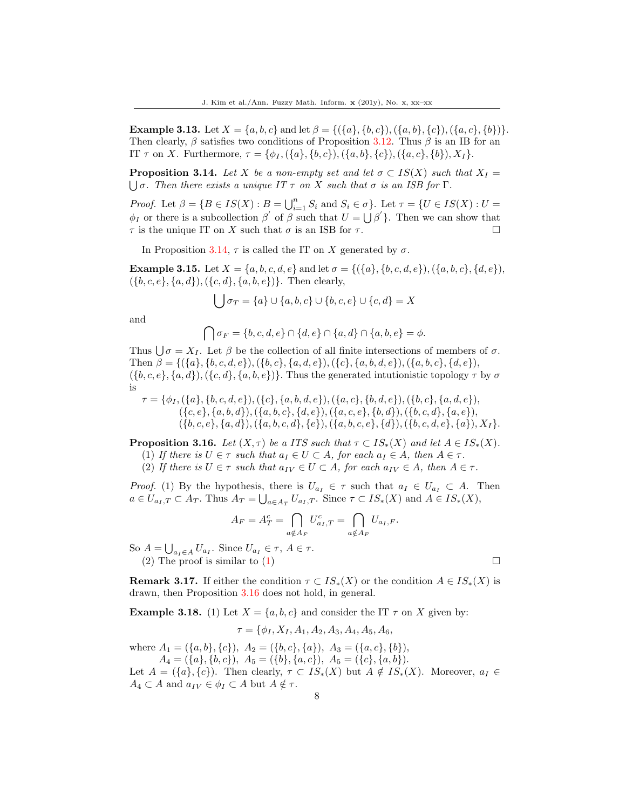**Example 3.13.** Let  $X = \{a, b, c\}$  and let  $\beta = \{(\{a\}, \{b, c\}), (\{a, b\}, \{c\}), (\{a, c\}, \{b\})\}.$ Then clearly,  $\beta$  satisfies two conditions of Proposition 3.12. Thus  $\beta$  is an IB for an IT  $\tau$  on X. Furthermore,  $\tau = {\phi_I, (\{a\}, \{b, c\}), (\{a, b\}, \{c\}), (\{a, c\}, \{b\}), X_I}.$ 

**Proposition 3.14.** Let X be a non-empty set and let  $\sigma \subset IS(X)$  such that  $X_I =$  $\bigcup \sigma$ . Then there exists a unique IT  $\tau$  on X such that  $\sigma$  is an ISB for  $\Gamma$ .

*Proof.* Let  $\beta = \{B \in IS(X) : B = \bigcup_{i=1}^{n} S_i \text{ and } S_i \in \sigma\}$ . Let  $\tau = \{U \in IS(X) : U = \emptyset\}$  $\phi_I$  or there is a subcollection  $\beta'$  of  $\beta$  such that  $U = \bigcup \beta'$ . Then we can show that  $\tau$  is the unique IT on X such that  $\sigma$  is an ISB for  $\tau$ .

In Proposition 3.14,  $\tau$  is called the IT on X generated by  $\sigma$ .

**Example 3.15.** Let  $X = \{a, b, c, d, e\}$  and let  $\sigma = \{(\{a\}, \{b, c, d, e\}), (\{a, b, c\}, \{d, e\}),\$  $({b, c, e}, {a, d}, ({c, d}, {a, b, e})$ . Then clearly,

$$
\bigcup \sigma_T = \{a\} \cup \{a, b, c\} \cup \{b, c, e\} \cup \{c, d\} = X
$$

and

$$
\bigcap \sigma_F = \{b, c, d, e\} \cap \{d, e\} \cap \{a, d\} \cap \{a, b, e\} = \phi.
$$

Thus  $\bigcup \sigma = X_I$ . Let  $\beta$  be the collection of all finite intersections of members of  $\sigma$ . Then  $\beta = \{(\{a\}, \{b, c, d, e\}), (\{b, c\}, \{a, d, e\}), (\{c\}, \{a, b, d, e\}), (\{a, b, c\}, \{d, e\}),\$  $({b, c, e}, {a, d}), ({c, d}, {a, b, e})$ . Thus the generated intutionistic topology  $\tau$  by  $\sigma$ is

$$
\tau = \{\phi_I, (\{a\}, \{b, c, d, e\}), (\{c\}, \{a, b, d, e\}), (\{a, c\}, \{b, d, e\}), (\{b, c\}, \{a, d, e\}), (\{c, e\}, \{a, b, d\}), (\{a, b, c\}, \{d, e\}), (\{a, c, e\}, \{b, d\}), (\{b, c, d\}, \{a, e\}), (\{b, c, e\}, \{a, d\}), (\{a, b, c, d\}, \{e\}), (\{a, b, c, e\}, \{d\}), (\{b, c, d, e\}, \{a\}), X_I\}.
$$

**Proposition 3.16.** Let  $(X, \tau)$  be a ITS such that  $\tau \subset IS_*(X)$  and let  $A \in IS_*(X)$ .

(1) If there is  $U \in \tau$  such that  $a_I \in U \subset A$ , for each  $a_I \in A$ , then  $A \in \tau$ .

(2) If there is  $U \in \tau$  such that  $a_{IV} \in U \subset A$ , for each  $a_{IV} \in A$ , then  $A \in \tau$ .

*Proof.* (1) By the hypothesis, there is  $U_{a_I} \in \tau$  such that  $a_I \in U_{a_I} \subset A$ . Then  $a \in U_{a_I, T} \subset A_T$ . Thus  $A_T = \bigcup_{a \in A_T} U_{a_I, T}$ . Since  $\tau \subset IS_*(X)$  and  $A \in IS_*(X)$ ,

$$
A_F = A_T^c = \bigcap_{a \notin A_F} U_{a_I,T}^c = \bigcap_{a \notin A_F} U_{a_I,F}.
$$

So  $A = \bigcup_{a_I \in A} U_{a_I}$ . Since  $U_{a_I} \in \tau$ ,  $A \in \tau$ .

(2) The proof is similar to (1)  $\Box$ 

**Remark 3.17.** If either the condition  $\tau \subset IS_*(X)$  or the condition  $A \in IS_*(X)$  is drawn, then Proposition 3.16 does not hold, in general.

**Example 3.18.** (1) Let  $X = \{a, b, c\}$  and consider the IT  $\tau$  on X given by:

$$
\tau = \{\phi_I, X_I, A_1, A_2, A_3, A_4, A_5, A_6,
$$

where  $A_1 = (\{a, b\}, \{c\}), A_2 = (\{b, c\}, \{a\}), A_3 = (\{a, c\}, \{b\}),$  $A_4 = (\{a\}, \{b, c\}), A_5 = (\{b\}, \{a, c\}), A_5 = (\{c\}, \{a, b\}).$ Let  $A = (\{a\}, \{c\})$ . Then clearly,  $\tau \subset IS_*(X)$  but  $A \notin IS_*(X)$ . Moreover,  $a_I \in$  $A_4 \subset A$  and  $a_{IV} \in \phi_I \subset A$  but  $A \notin \tau$ .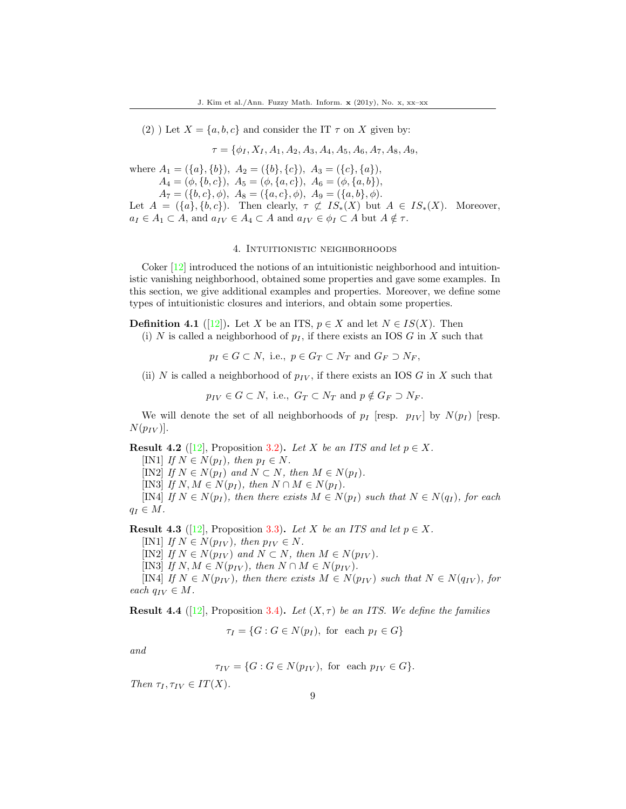(2) ) Let  $X = \{a, b, c\}$  and consider the IT  $\tau$  on X given by:

 $\tau = \{\phi_I, X_I, A_1, A_2, A_3, A_4, A_5, A_6, A_7, A_8, A_9,$ 

where  $A_1 = (\{a\}, \{b\}), A_2 = (\{b\}, \{c\}), A_3 = (\{c\}, \{a\}),$  $A_4 = (\phi, \{b, c\}), A_5 = (\phi, \{a, c\}), A_6 = (\phi, \{a, b\}),$ 

 $A_7 = (\{b, c\}, \phi), A_8 = (\{a, c\}, \phi), A_9 = (\{a, b\}, \phi).$ 

Let  $A = (\{a\}, \{b, c\})$ . Then clearly,  $\tau \not\subset IS_*(X)$  but  $A \in IS_*(X)$ . Moreover,  $a_I \in A_1 \subset A$ , and  $a_{IV} \in A_4 \subset A$  and  $a_{IV} \in \phi_I \subset A$  but  $A \notin \tau$ .

#### 4. Intuitionistic neighborhoods

Coker  $[12]$  introduced the notions of an intuitionistic neighborhood and intuitionistic vanishing neighborhood, obtained some properties and gave some examples. In this section, we give additional examples and properties. Moreover, we define some types of intuitionistic closures and interiors, and obtain some properties.

**Definition 4.1** ([\[12\]](#page-17-9)). Let X be an ITS,  $p \in X$  and let  $N \in IS(X)$ . Then

(i) N is called a neighborhood of  $p_I$ , if there exists an IOS G in X such that

 $p_I \in G \subset N$ , i.e.,  $p \in G_T \subset N_T$  and  $G_F \supset N_F$ ,

(ii) N is called a neighborhood of  $p_{IV}$ , if there exists an IOS G in X such that

 $p_{IV} \in G \subset N$ , i.e.,  $G_T \subset N_T$  and  $p \notin G_F \supset N_F$ .

We will denote the set of all neighborhoods of  $p_I$  [resp.  $p_{IV}$ ] by  $N(p_I)$  [resp.  $N(p_{IV})$ .

**Result 4.2** ([\[12\]](#page-17-9), Proposition 3.2). Let X be an ITS and let  $p \in X$ .

[IN1] If  $N \in N(p_I)$ , then  $p_I \in N$ . [IN2] If  $N \in N(p_I)$  and  $N \subset N$ , then  $M \in N(p_I)$ . [IN3] If  $N, M \in N(p_I)$ , then  $N \cap M \in N(p_I)$ . [IN4] If  $N \in N(p_I)$ , then there exists  $M \in N(p_I)$  such that  $N \in N(q_I)$ , for each

 $q_I \in M$ .

**Result 4.3** ([\[12\]](#page-17-9), Proposition 3.3). Let X be an ITS and let  $p \in X$ .

[IN1] If  $N \in N(p_{IV})$ , then  $p_{IV} \in N$ .

[IN2] If  $N \in N(p_{IV})$  and  $N \subset N$ , then  $M \in N(p_{IV})$ .

[IN3] If  $N, M \in N(p_{IV}),$  then  $N \cap M \in N(p_{IV}).$ 

[IN4] If  $N \in N(p_{IV})$ , then there exists  $M \in N(p_{IV})$  such that  $N \in N(q_{IV})$ , for each  $q_{IV} \in M$ .

**Result 4.4** ([\[12\]](#page-17-9), Proposition 3.4). Let  $(X, \tau)$  be an ITS. We define the families

$$
\tau_I = \{ G : G \in N(p_I), \text{ for each } p_I \in G \}
$$

and

 $\tau_{IV} = \{G : G \in N(p_{IV}), \text{ for each } p_{IV} \in G\}.$ 

Then  $\tau_I, \tau_{IV} \in IT(X)$ .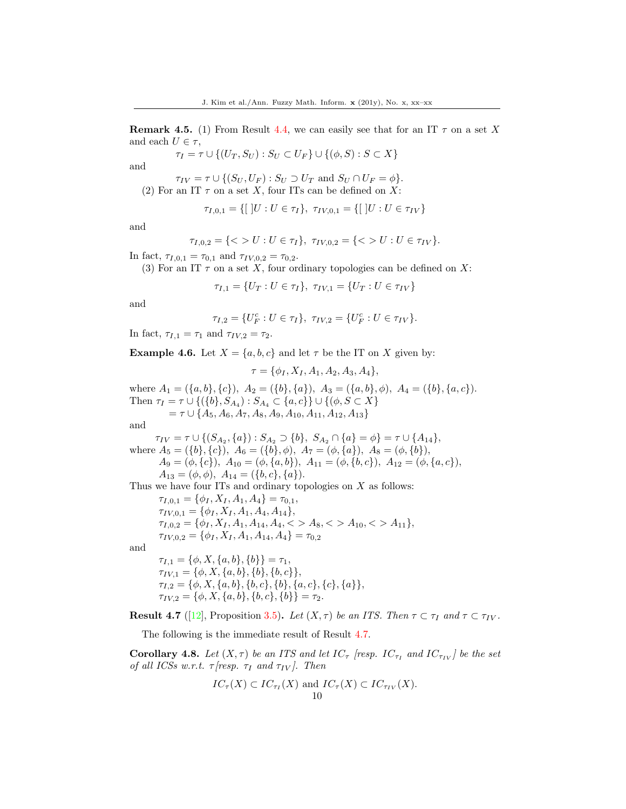**Remark 4.5.** (1) From Result 4.4, we can easily see that for an IT  $\tau$  on a set X and each  $U \in \tau$ ,

$$
\tau_I = \tau \cup \{(U_T, S_U) : S_U \subset U_F\} \cup \{(\phi, S) : S \subset X\}
$$

and

$$
\tau_{IV} = \tau \cup \{ (S_U, U_F) : S_U \supset U_T \text{ and } S_U \cap U_F = \phi \}.
$$
  
(2) For an IT  $\tau$  on a set X, four ITs can be defined on X:

$$
\tau_{I,0,1} = \{ [ |U : U \in \tau_I \}, \ \tau_{IV,0,1} = \{ [ |U : U \in \tau_{IV} \}
$$

and

$$
\tau_{I,0,2} = \{ \langle > U : U \in \tau_I \}, \ \tau_{IV,0,2} = \{ \langle > U : U \in \tau_{IV} \}.
$$

In fact,  $\tau_{I,0,1} = \tau_{0,1}$  and  $\tau_{IV,0,2} = \tau_{0,2}$ .

(3) For an IT  $\tau$  on a set X, four ordinary topologies can be defined on X:

$$
\tau_{I,1} = \{U_T : U \in \tau_I\}, \ \tau_{IV,1} = \{U_T : U \in \tau_{IV}\}\
$$

and

$$
\tau_{I,2} = \{U_F^c : U \in \tau_I\}, \ \tau_{IV,2} = \{U_F^c : U \in \tau_{IV}\}.
$$

In fact,  $\tau_{I,1} = \tau_1$  and  $\tau_{IV,2} = \tau_2$ .

**Example 4.6.** Let  $X = \{a, b, c\}$  and let  $\tau$  be the IT on X given by:

$$
\tau = \{\phi_I, X_I, A_1, A_2, A_3, A_4\},\
$$

where  $A_1 = (\{a, b\}, \{c\}), A_2 = (\{b\}, \{a\}), A_3 = (\{a, b\}, \phi), A_4 = (\{b\}, \{a, c\}).$ Then  $\tau_I = \tau \cup \{(\{b\}, S_{A_4}) : S_{A_4} \subset \{a, c\}\} \cup \{(\phi, S \subset X\}$  $= \tau \cup \{A_5, A_6, A_7, A_8, A_9, A_{10}, A_{11}, A_{12}, A_{13}\}$ and  $\tau_{IV} = \tau \cup \{(S_{A_2}, \{a\}) : S_{A_2} \supset \{b\}, S_{A_2} \cap \{a\} = \phi\} = \tau \cup \{A_{14}\},\$ where  $A_5 = (\{b\}, \{c\})$ ,  $A_6 = (\{b\}, \phi)$ ,  $A_7 = (\phi, \{a\})$ ,  $A_8 = (\phi, \{b\})$ ,  $A_9 = (\phi, \{c\}), A_{10} = (\phi, \{a, b\}), A_{11} = (\phi, \{b, c\}), A_{12} = (\phi, \{a, c\}),$  $A_{13} = (\phi, \phi), A_{14} = (\{b, c\}, \{a\}).$ 

Thus we have four ITs and ordinary topologies on  $X$  as follows:

 $\tau_{I,0,1} = {\phi_I, X_I, A_1, A_4} = \tau_{0,1}$  $\tau_{IV,0,1} = {\phi_I, X_I, A_1, A_4, A_{14}},$  $\tau_{I,0,2} = \{\phi_I, X_I, A_1, A_{14}, A_4, \langle > A_8, \langle > A_{10}, \langle > A_{11} \},$  $\tau_{IV,0,2} = {\phi_I, X_I, A_1, A_{14}, A_4} = \tau_{0,2}$ 

and

$$
\tau_{I,1} = \{\phi, X, \{a, b\}, \{b\}\} = \tau_1,
$$
  
\n
$$
\tau_{IV,1} = \{\phi, X, \{a, b\}, \{b\}, \{b, c\}\},
$$
  
\n
$$
\tau_{I,2} = \{\phi, X, \{a, b\}, \{b, c\}, \{b\}, \{a, c\}, \{c\}, \{a\}\},
$$
  
\n
$$
\tau_{IV,2} = \{\phi, X, \{a, b\}, \{b, c\}, \{b\}\} = \tau_2.
$$

**Result 4.7** ([\[12\]](#page-17-9), Proposition 3.5). Let  $(X, \tau)$  be an ITS. Then  $\tau \subset \tau_I$  and  $\tau \subset \tau_{IV}$ .

The following is the immediate result of Result 4.7.

**Corollary 4.8.** Let  $(X, \tau)$  be an ITS and let  $IC_{\tau}$  [resp.  $IC_{\tau}$  and  $IC_{\tau_{IV}}$ ] be the set of all ICSs w.r.t.  $\tau$  [resp.  $\tau_I$  and  $\tau_{IV}$ ]. Then

$$
IC_{\tau}(X) \subset IC_{\tau_I}(X) \text{ and } IC_{\tau}(X) \subset IC_{\tau_{IV}}(X).
$$
  
10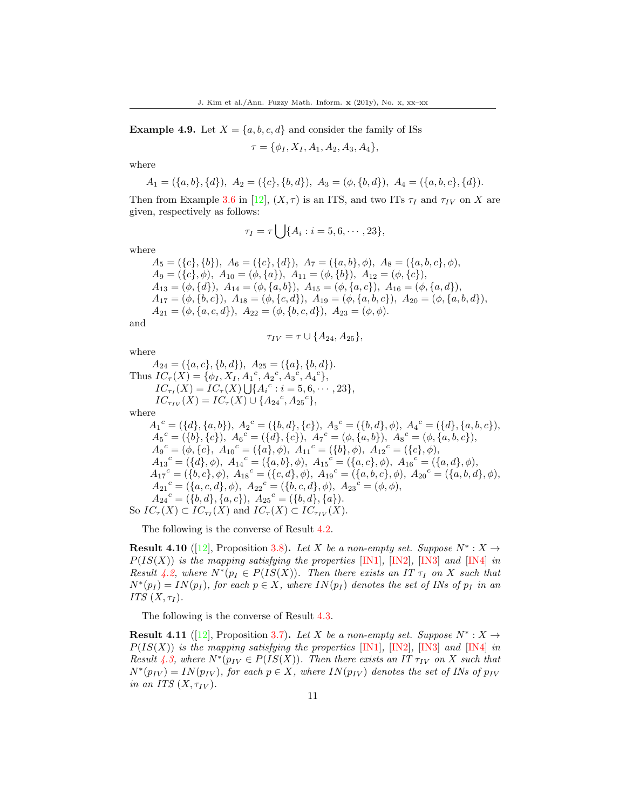**Example 4.9.** Let  $X = \{a, b, c, d\}$  and consider the family of ISs

$$
\tau = \{\phi_I, X_I, A_1, A_2, A_3, A_4\},\
$$

where

$$
A_1 = (\{a, b\}, \{d\}), \ A_2 = (\{c\}, \{b, d\}), \ A_3 = (\phi, \{b, d\}), \ A_4 = (\{a, b, c\}, \{d\}).
$$

Then from Example 3.6 in [\[12\]](#page-17-9),  $(X, \tau)$  is an ITS, and two ITs  $\tau_I$  and  $\tau_{IV}$  on X are given, respectively as follows:

$$
\tau_I = \tau \bigcup \{A_i : i = 5, 6, \cdots, 23\},\
$$

where

 $A_5 = (\{c\}, \{b\}), A_6 = (\{c\}, \{d\}), A_7 = (\{a, b\}, \phi), A_8 = (\{a, b, c\}, \phi),$  $A_9 = (\{c\}, \phi), A_{10} = (\phi, \{a\}), A_{11} = (\phi, \{b\}), A_{12} = (\phi, \{c\}),$  $A_{13} = (\phi, \{d\}), A_{14} = (\phi, \{a, b\}), A_{15} = (\phi, \{a, c\}), A_{16} = (\phi, \{a, d\}),$  $A_{17} = (\phi, \{b, c\}), A_{18} = (\phi, \{c, d\}), A_{19} = (\phi, \{a, b, c\}), A_{20} = (\phi, \{a, b, d\}),$  $A_{21} = (\phi, \{a, c, d\}), A_{22} = (\phi, \{b, c, d\}), A_{23} = (\phi, \phi).$ 

and

$$
\tau_{IV} = \tau \cup \{A_{24}, A_{25}\},\
$$

where

$$
A_{24} = (\{a, c\}, \{b, d\}), A_{25} = (\{a\}, \{b, d\}).
$$
  
\nThus  $IC_{\tau}(X) = \{\phi_I, X_I, A_1^c, A_2^c, A_3^c, A_4^c\},$   
\n $IC_{\tau_I}(X) = IC_{\tau}(X) \cup \{A_i^c : i = 5, 6, \cdots, 23\},$   
\n $IC_{\tau_{IV}}(X) = IC_{\tau}(X) \cup \{A_{24}^c, A_{25}^c\},$   
\nwhere

 $A_1^c = (\{d\}, \{a, b\}), A_2^c = (\{b, d\}, \{c\}), A_3^c = (\{b, d\}, \phi), A_4^c = (\{d\}, \{a, b, c\}),$  $A_5{}^c = (\{b\}, \{c\}), \ A_6{}^c = (\{d\}, \{c\}), \ A_7{}^c = (\phi, \{a, b\}), \ A_8{}^c = (\phi, \{a, b, c\}),$  ${A_9}^c=(\phi,\{c\},\,\,{A_{10}}^c=(\{a\},\phi),\,\,{A_{11}}^c=(\{b\},\phi),\,\,{A_{12}}^c=(\{c\},\phi),$  ${A_{13}}^c= (\{ d \},\phi),\,\,{A_{14}}^c= (\{ a,b \},\phi),\,\,{A_{15}}^c= (\{ a,c \},\phi),\,\,{A_{16}}^c= (\{ a,d \},\phi),$  ${A_{17}}^c = (\{b, c\}, \phi),\ {A_{18}}^c = (\{c, d\}, \phi),\ {A_{19}}^c = (\{a, b, c\}, \phi),\ {A_{20}}^c = (\{a, b, d\}, \phi),$  ${A_{21}}^c= (\{a,c,d\},\phi),\,\,{A_{22}}^c= (\{b,c,d\},\phi),\,\,{A_{23}}^c= (\phi,\phi),$  $A_{24}{}^c = (\{b, d\}, \{a, c\}), \ A_{25}{}^c = (\{b, d\}, \{a\}).$ So  $IC_{\tau}(X) \subset IC_{\tau_I}(X)$  and  $IC_{\tau}(X) \subset IC_{\tau_{IV}}(X)$ .

The following is the converse of Result 4.2.

**Result 4.10** ([\[12\]](#page-17-9), Proposition 3.8). Let X be a non-empty set. Suppose  $N^* : X \to Y$  $P(IS(X))$  is the mapping satisfying the properties [IN1], [IN2], [IN3] and [IN4] in Result 4.2, where  $N^*(p_I \in P(IS(X))$ . Then there exists an IT  $\tau_I$  on X such that  $N^*(p_I) = IN(p_I)$ , for each  $p \in X$ , where  $IN(p_I)$  denotes the set of INs of  $p_I$  in an ITS  $(X, \tau_I)$ .

The following is the converse of Result 4.3.

**Result 4.11** ([\[12\]](#page-17-9), Proposition 3.7). Let X be a non-empty set. Suppose  $N^* : X \to Y$  $P(IS(X))$  is the mapping satisfying the properties [IN1], [IN2], [IN3] and [IN4] in Result 4.3, where  $N^*(p_{IV} \in P(IS(X))$ . Then there exists an IT  $\tau_{IV}$  on X such that  $N^*(p_{IV}) = IN(p_{IV}),$  for each  $p \in X$ , where  $IN(p_{IV})$  denotes the set of INs of  $p_{IV}$ in an ITS  $(X, \tau_{IV})$ .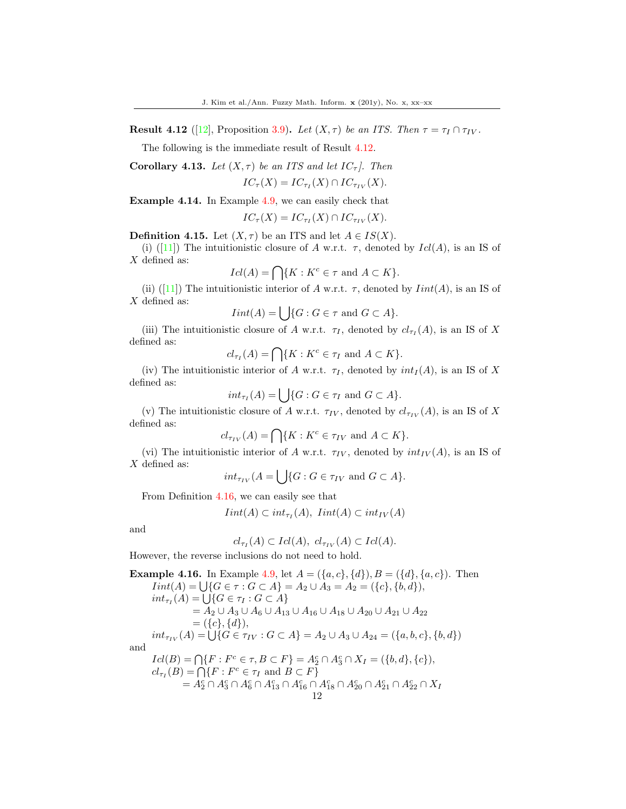**Result 4.12** ([\[12\]](#page-17-9), Proposition 3.9). Let  $(X, \tau)$  be an ITS. Then  $\tau = \tau_I \cap \tau_{IV}$ .

The following is the immediate result of Result 4.12.

Corollary 4.13. Let  $(X, \tau)$  be an ITS and let  $IC_{\tau}$ . Then

 $IC_{\tau}(X) = IC_{\tau_I}(X) \cap IC_{\tau_{IV}}(X).$ 

Example 4.14. In Example 4.9, we can easily check that

$$
IC_{\tau}(X) = IC_{\tau_I}(X) \cap IC_{\tau_{IV}}(X).
$$

**Definition 4.15.** Let  $(X, \tau)$  be an ITS and let  $A \in IS(X)$ .

(i)([\[11\]](#page-17-8)) The intuitionistic closure of A w.r.t.  $\tau$ , denoted by  $Id(A)$ , is an IS of X defined as:

$$
Icl(A) = \bigcap \{ K : K^c \in \tau \text{ and } A \subset K \}.
$$

(ii)([\[11\]](#page-17-8)) The intuitionistic interior of A w.r.t.  $\tau$ , denoted by  $Init(A)$ , is an IS of X defined as:

 $Iint(A) = \bigcup \{G : G \in \tau \text{ and } G \subset A\}.$ 

(iii) The intuitionistic closure of A w.r.t.  $\tau_I$ , denoted by  $cl_{\tau_I}(A)$ , is an IS of X defined as:

$$
cl_{\tau_I}(A) = \bigcap \{ K : K^c \in \tau_I \text{ and } A \subset K \}.
$$

(iv) The intuitionistic interior of A w.r.t.  $\tau_I$ , denoted by  $int_I(A)$ , is an IS of X defined as:

$$
int_{\tau_I}(A) = \bigcup \{ G : G \in \tau_I \text{ and } G \subset A \}.
$$

(v) The intuitionistic closure of A w.r.t.  $\tau_{IV}$ , denoted by  $cl_{\tau_{IV}}(A)$ , is an IS of X defined as:

 $cl_{\tau_{IV}}(A) = \bigcap \{ K : K^c \in \tau_{IV} \text{ and } A \subset K \}.$ 

(vi) The intuitionistic interior of A w.r.t.  $\tau_{IV}$ , denoted by  $int_{IV}(A)$ , is an IS of X defined as:

 $int_{\tau_{IV}} (A = \bigcup \{G : G \in \tau_{IV} \text{ and } G \subset A\}.$ 

From Definition 4.16, we can easily see that

$$
Init(A) \subset int_{\tau_I}(A), \quad init(A) \subset int_{IV}(A)
$$

and

$$
cl_{\tau_I}(A) \subset Icl(A), \ cl_{\tau_{IV}}(A) \subset Icl(A).
$$

However, the reverse inclusions do not need to hold.

**Example 4.16.** In Example 4.9, let 
$$
A = (\{a, c\}, \{d\}), B = (\{d\}, \{a, c\})
$$
. Then  
\n
$$
Init(A) = \bigcup \{G \in \tau : G \subset A\} = A_2 \cup A_3 = A_2 = (\{c\}, \{b, d\}),
$$
\n
$$
int_{\tau_I}(A) = \bigcup \{G \in \tau_I : G \subset A\}
$$
\n
$$
= A_2 \cup A_3 \cup A_6 \cup A_{13} \cup A_{16} \cup A_{18} \cup A_{20} \cup A_{21} \cup A_{22}
$$
\n
$$
= (\{c\}, \{d\}),
$$
\n
$$
int_{\tau_{IV}}(A) = \bigcup \{G \in \tau_{IV} : G \subset A\} = A_2 \cup A_3 \cup A_{24} = (\{a, b, c\}, \{b, d\})
$$
\nand  
\n
$$
Icl(B) = \bigcap \{F : F^c \in \tau, B \subset F\} = A_2^c \cap A_3^c \cap X_I = (\{b, d\}, \{c\}),
$$
\n
$$
cl_{\tau_I}(B) = \bigcap \{F : F^c \in \tau_I \text{ and } B \subset F\}
$$
\n
$$
= A_2^c \cap A_3^c \cap A_1^c \cap A_{13}^c \cap A_{16}^c \cap A_{18}^c \cap A_{20}^c \cap A_{21}^c \cap X_I
$$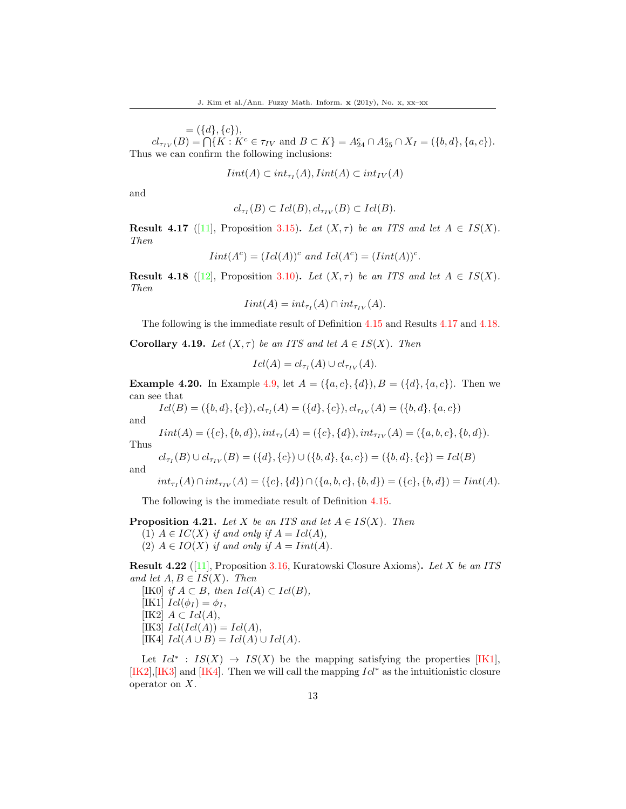$= (\{d\}, \{c\}),$  $cl_{\tau_{IV}}(B) = \bigcap \{ K : K^c \in \tau_{IV} \text{ and } B \subset K \} = A_{24}^c \cap A_{25}^c \cap X_I = (\{ b, d \}, \{ a, c \}).$ Thus we can confirm the following inclusions:

$$
Init(A) \subset int_{\tau_I}(A),Init(A) \subset int_{IV}(A)
$$

and

$$
cl_{\tau_I}(B) \subset Icl(B), cl_{\tau_{IV}}(B) \subset Icl(B).
$$

**Result 4.17** ([\[11\]](#page-17-8), Proposition 3.15). Let  $(X, \tau)$  be an ITS and let  $A \in IS(X)$ . Then

$$
Init(Ac) = (Id(A))c
$$
 and  $Id(Ac) = (Init(A))c$ .

**Result 4.18** ([\[12\]](#page-17-9), Proposition 3.10). Let  $(X, \tau)$  be an ITS and let  $A \in IS(X)$ . Then

$$
Init(A) = int_{\tau_I}(A) \cap int_{\tau_{IV}}(A).
$$

The following is the immediate result of Definition 4.15 and Results 4.17 and 4.18.

**Corollary 4.19.** Let  $(X, \tau)$  be an ITS and let  $A \in IS(X)$ . Then

$$
Icl(A) = cl_{\tau_I}(A) \cup cl_{\tau_{IV}}(A).
$$

**Example 4.20.** In Example 4.9, let  $A = (\{a, c\}, \{d\}), B = (\{d\}, \{a, c\})$ . Then we can see that

 $Icl(B) = (\{b, d\}, \{c\}), cl_{\tau_I}(A) = (\{d\}, \{c\}), cl_{\tau_{IV}}(A) = (\{b, d\}, \{a, c\})$ 

and

$$
Init(A) = (\{c\}, \{b, d\}), int_{\tau_I}(A) = (\{c\}, \{d\}), int_{\tau_{IV}}(A) = (\{a, b, c\}, \{b, d\}).
$$

Thus

and

 $\overline{c}$ 

$$
l_{\tau_I}(B) \cup cl_{\tau_{IV}}(B) = (\{d\}, \{c\}) \cup (\{b, d\}, \{a, c\}) = (\{b, d\}, \{c\}) = Icl(B)
$$

$$
int_{\tau_I}(A) \cap int_{\tau_{IV}}(A) = (\{c\}, \{d\}) \cap (\{a, b, c\}, \{b, d\}) = (\{c\}, \{b, d\}) = limit(A).
$$

The following is the immediate result of Definition 4.15.

# **Proposition 4.21.** Let X be an ITS and let  $A \in IS(X)$ . Then

(1)  $A \in IC(X)$  if and only if  $A = Icl(A)$ ,

(2)  $A \in IO(X)$  if and only if  $A = Int(A)$ .

**Result 4.22** ([\[11\]](#page-17-8), Proposition 3.16, Kuratowski Closure Axioms). Let X be an ITS and let  $A, B \in IS(X)$ . Then

[IK0] if  $A \subset B$ , then  $Icl(A) \subset Icl(B)$ , [IK1]  $Icl(\phi_I) = \phi_I$ , [IK2]  $A \subset \text{Id}(A)$ , [IK3]  $Icl(Icl(A)) = Icl(A),$ [IK4]  $Icl(A \cup B) = Icl(A) \cup Icl(A)$ .

Let  $Id^*$ :  $IS(X) \rightarrow IS(X)$  be the mapping satisfying the properties [IK1],  $[K2], [IK3]$  and  $[K4]$ . Then we will call the mapping  $Id^*$  as the intuitionistic closure operator on X.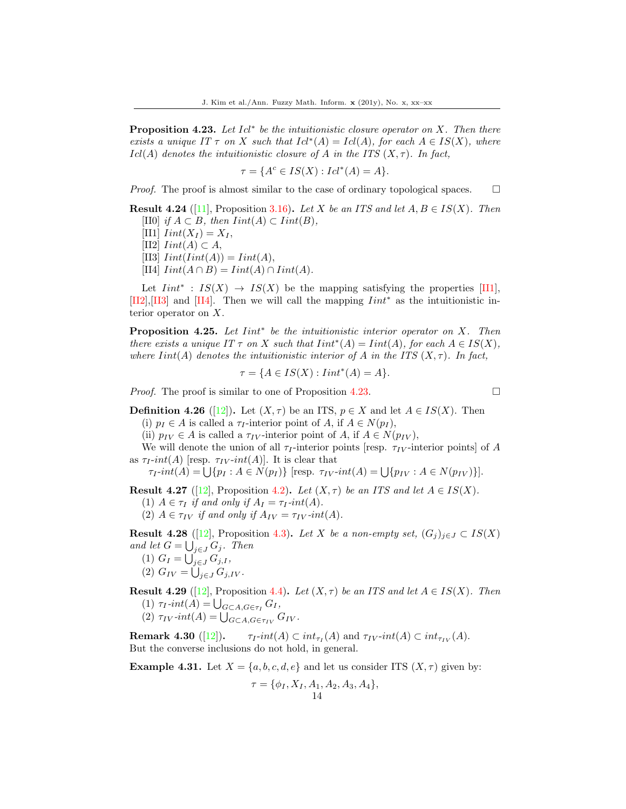**Proposition 4.23.** Let  $Id^*$  be the intuitionistic closure operator on X. Then there exists a unique IT  $\tau$  on X such that  $Id^*(A) = Id(A)$ , for each  $A \in IS(X)$ , where  $Icl(A)$  denotes the intuitionistic closure of A in the ITS  $(X, \tau)$ . In fact,

$$
\tau = \{A^c \in IS(X) : Icl^*(A) = A\}.
$$

*Proof.* The proof is almost similar to the case of ordinary topological spaces.  $\Box$ 

**Result 4.24** ([\[11\]](#page-17-8), Proposition 3.16). Let X be an ITS and let  $A, B \in IS(X)$ . Then [II0] if  $A \subset B$ , then  $Init(A) \subset Int(B)$ ,

 $[III]$   $Init(X_I) = X_I$ ,

[II2]  $Init(A) \subset A$ ,

[II3]  $Init(int(A)) = lint(A),$ 

[II4]  $Init(A \cap B) = Iint(A) \cap Iint(A)$ .

Let  $Init^*$ :  $IS(X) \rightarrow IS(X)$  be the mapping satisfying the properties [II1], [II2],[II3] and [II4]. Then we will call the mapping  $Init^*$  as the intuitionistic interior operator on X.

**Proposition 4.25.** Let  $Init^*$  be the intuitionistic interior operator on  $X$ . Then there exists a unique IT  $\tau$  on X such that  $Init^*(A) = Int(A)$ , for each  $A \in IS(X)$ , where  $Init(A)$  denotes the intuitionistic interior of A in the ITS  $(X, \tau)$ . In fact,

$$
\tau = \{ A \in IS(X) : Iint^*(A) = A \}.
$$

*Proof.* The proof is similar to one of Proposition 4.23.

**Definition 4.26** ([\[12\]](#page-17-9)). Let  $(X, \tau)$  be an ITS,  $p \in X$  and let  $A \in IS(X)$ . Then (i)  $p_I \in A$  is called a  $\tau_I$ -interior point of A, if  $A \in N(p_I)$ ,

(ii)  $p_{IV} \in A$  is called a  $\tau_{IV}$ -interior point of A, if  $A \in N(p_{IV})$ ,

We will denote the union of all  $\tau_I$ -interior points [resp.  $\tau_{IV}$ -interior points] of A as  $\tau_I$ -int(A) [resp.  $\tau_{IV}$ -int(A)]. It is clear that

 $\tau_I\text{-}int(A) = \bigcup \{p_I : A \in N(p_I)\}$  [resp.  $\tau_{IV}\text{-}int(A) = \bigcup \{p_{IV} : A \in N(p_{IV})\}$ ].

**Result 4.27** ([\[12\]](#page-17-9), Proposition 4.2). Let  $(X, \tau)$  be an ITS and let  $A \in IS(X)$ .

(1)  $A \in \tau_I$  if and only if  $A_I = \tau_I$ -int(A).

(2)  $A \in \tau_{IV}$  if and only if  $A_{IV} = \tau_{IV}$ -int(A).

**Result 4.28** ([\[12\]](#page-17-9), Proposition 4.3). Let X be a non-empty set,  $(G_j)_{j\in J} \subset IS(X)$ and let  $G = \bigcup_{j \in J} G_j$ . Then

- (1)  $G_I = \bigcup_{j \in J} G_{j,I},$
- (2)  $G_{IV} = \bigcup_{j \in J} G_{j,IV}$ .

**Result 4.29** ([\[12\]](#page-17-9), Proposition 4.4). Let  $(X, \tau)$  be an ITS and let  $A \in IS(X)$ . Then (1)  $\tau_I$ -int(A) =  $\bigcup_{G \subset A, G \in \tau_I} G_I$ , (2)  $\tau_{IV}.int(A) = \bigcup_{G \subset A, G \in \tau_{IV}} G_{IV}.$ 

**Remark 4.30**  $([12])$  $([12])$  $([12])$ .  $\tau_I$ -int(A)  $\subset int_{\tau_I}(A)$  and  $\tau_{IV}$ -int(A)  $\subset int_{\tau_{IV}}(A)$ . But the converse inclusions do not hold, in general.

**Example 4.31.** Let  $X = \{a, b, c, d, e\}$  and let us consider ITS  $(X, \tau)$  given by:

$$
\tau = \{\phi_I, X_I, A_1, A_2, A_3, A_4\},\
$$
14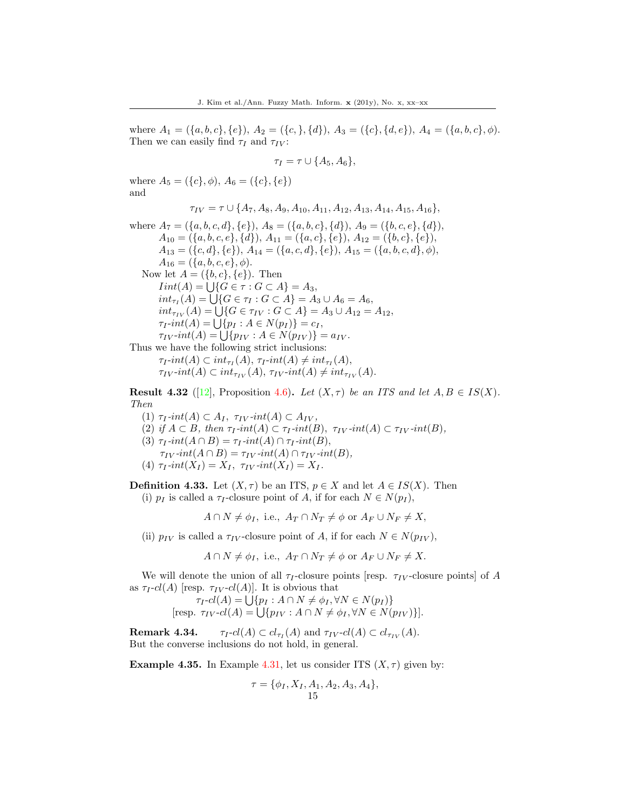where  $A_1 = (\{a, b, c\}, \{e\}), A_2 = (\{c, \}, \{d\}), A_3 = (\{c\}, \{d, e\}), A_4 = (\{a, b, c\}, \phi).$ Then we can easily find  $\tau_I$  and  $\tau_{IV}$ :

$$
\tau_I = \tau \cup \{A_5, A_6\},\
$$

where  $A_5 = (\{c\}, \phi), A_6 = (\{c\}, \{e\})$ and

 $\tau_{IV} = \tau \cup \{A_7, A_8, A_9, A_{10}, A_{11}, A_{12}, A_{13}, A_{14}, A_{15}, A_{16}\},\$ 

where  $A_7 = (\{a, b, c, d\}, \{e\}), A_8 = (\{a, b, c\}, \{d\}), A_9 = (\{b, c, e\}, \{d\}),$  $A_{10} = (\{a, b, c, e\}, \{d\}), A_{11} = (\{a, c\}, \{e\}), A_{12} = (\{b, c\}, \{e\}),$  $A_{13} = (\{c, d\}, \{e\}), A_{14} = (\{a, c, d\}, \{e\}), A_{15} = (\{a, b, c, d\}, \phi),$  $A_{16} = (\{a, b, c, e\}, \phi).$ Now let  $A = (\{b, c\}, \{e\})$ . Then  $Init(A) = \bigcup \{ G \in \tau : G \subset A \} = A_3,$  $int_{\tau_I}(A) = \bigcup \{ G \in \tau_I : G \subset A \} = A_3 \cup A_6 = A_6,$  $int_{\tau_{IV}}(A) = \bigcup \{ G \in \tau_{IV} : G \subset A \} = A_3 \cup A_{12} = A_{12},$  $\tau_I$ -int(A) =  $\bigcup \{p_I : A \in N(p_I)\} = c_I$ ,  $\tau_{IV}$ - $int(A) = \bigcup \{p_{IV} : A \in N(p_{IV})\} = a_{IV}.$ Thus we have the following strict inclusions:  $\tau_I\text{-}int(A) \subset int_{\tau_I}(A), \tau_I\text{-}int(A) \neq int_{\tau_I}(A),$ 

 $\tau_{IV}$ -int(A)  $\subset int_{\tau_{IV}}(A), \tau_{IV}$ -int(A)  $\neq int_{\tau_{IV}}(A).$ 

**Result 4.32** ([\[12\]](#page-17-9), Proposition 4.6). Let  $(X, \tau)$  be an ITS and let  $A, B \in IS(X)$ . Then

- (1)  $\tau_I$ -int(A)  $\subset A_I$ ,  $\tau_{IV}$ -int(A)  $\subset A_{IV}$ ,
- (2) if  $A \subset B$ , then  $\tau_I$ -int(A)  $\subset \tau_I$ -int(B),  $\tau_{IV}$ -int(A)  $\subset \tau_{IV}$ -int(B),
- (3)  $\tau_I$ -int $(A \cap B) = \tau_I$ -int $(A) \cap \tau_I$ -int $(B)$ ,  $\tau_{IV}$ -int $(A \cap B) = \tau_{IV}$ -int $(A) \cap \tau_{IV}$ -int $(B)$ ,
- (4)  $\tau_I$ -int $(X_I) = X_I$ ,  $\tau_{IV}$ -int $(X_I) = X_I$ .

**Definition 4.33.** Let  $(X, \tau)$  be an ITS,  $p \in X$  and let  $A \in IS(X)$ . Then (i)  $p_I$  is called a  $\tau_I$ -closure point of A, if for each  $N \in N(p_I)$ ,

 $A \cap N \neq \phi_I$ , i.e.,  $A_T \cap N_T \neq \phi$  or  $A_F \cup N_F \neq X$ ,

(ii)  $p_{IV}$  is called a  $\tau_{IV}$ -closure point of A, if for each  $N \in N(p_{IV})$ ,

 $A \cap N \neq \phi_I$ , i.e.,  $A_T \cap N_T \neq \phi$  or  $A_F \cup N_F \neq X$ .

We will denote the union of all  $\tau_I$ -closure points [resp.  $\tau_{IV}$ -closure points] of A as  $\tau_I$ -cl(A) [resp.  $\tau_{IV}$ -cl(A)]. It is obvious that

$$
\tau_I \text{-}cl(A) = \bigcup \{ p_I : A \cap N \neq \phi_I, \forall N \in N(p_I) \}
$$
  
[resp. 
$$
\tau_{IV} \text{-}cl(A) = \bigcup \{ p_{IV} : A \cap N \neq \phi_I, \forall N \in N(p_{IV}) \}].
$$

**Remark 4.34.**  $\tau_I \text{-} cl(A) \subset cl_{\tau_I}(A)$  and  $\tau_{IV} \text{-} cl(A) \subset cl_{\tau_{IV}}(A)$ . But the converse inclusions do not hold, in general.

**Example 4.35.** In Example 4.31, let us consider ITS  $(X, \tau)$  given by:

$$
\tau = \{ \phi_I, X_I, A_1, A_2, A_3, A_4 \},\
$$
15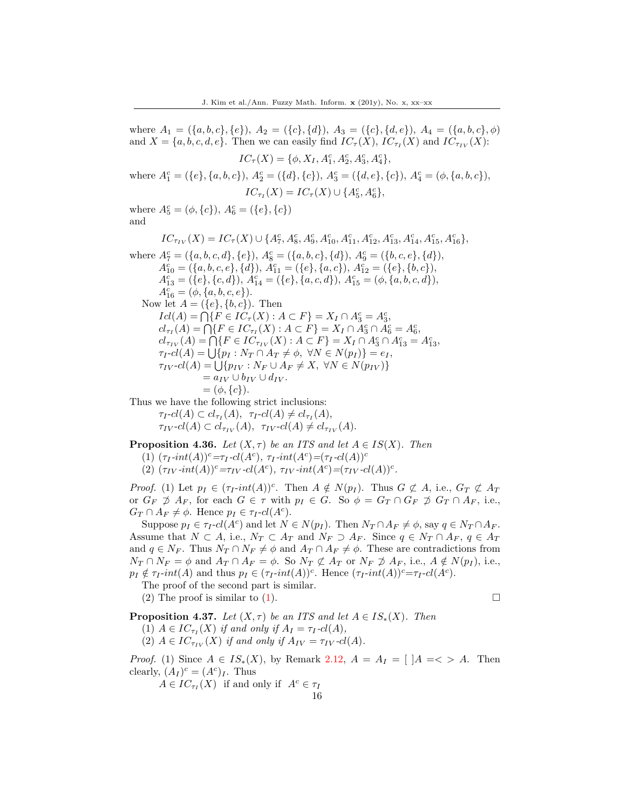where  $A_1 = (\{a, b, c\}, \{e\}), A_2 = (\{c\}, \{d\}), A_3 = (\{c\}, \{d, e\}), A_4 = (\{a, b, c\}, \phi)$ and  $X = \{a, b, c, d, e\}$ . Then we can easily find  $IC_{\tau}(X)$ ,  $IC_{\tau}(X)$  and  $IC_{\tau_{IV}}(X)$ :  $IC_{\tau}(X) = \{\phi, X_I, A_1^c, A_2^c, A_3^c, A_4^c\},\,$ where  $A_1^c = (\{e\}, \{a, b, c\}), A_2^c = (\{d\}, \{c\}), A_3^c = (\{d, e\}, \{c\}), A_4^c = (\phi, \{a, b, c\}),$  $IC_{\tau_I}(X) = IC_{\tau}(X) \cup \{A_5^c, A_6^c\},\$ where  $A_5^c = (\phi, \{c\}), A_6^c = (\{e\}, \{c\})$ and  $IC_{\tau_{IV}}(X) = IC_{\tau}(X) \cup \{A_7^c, A_8^c, A_9^c, A_{10}^c, A_{11}^c, A_{12}^c, A_{13}^c, A_{14}^c, A_{15}^c, A_{16}^c\},$ where  $A_7^c = (\{a, b, c, d\}, \{e\}), A_8^c = (\{a, b, c\}, \{d\}), A_9^c = (\{b, c, e\}, \{d\}),$  $A_{10}^{c} = (\{a, b, c, e\}, \{d\}), A_{11}^{c} = (\{e\}, \{a, c\}), A_{12}^{c} = (\{e\}, \{b, c\}),$  $A_{13}^c = (\{e\}, \{c, d\}), A_{14}^c = (\{e\}, \{a, c, d\}), A_{15}^c = (\phi, \{a, b, c, d\}),$  $A_{16}^c = (\phi, \{a, b, c, e\}).$ Now let  $A = (\{e\}, \{b, c\})$ . Then  $Icl(A) = \bigcap \{ F \in IC_{\tau}(X) : A \subset F \} = X_I \cap A_3^c = A_3^c,$  $cl_{\tau_I}(A) = \bigcap \{ F \in IC_{\tau_I}(X) : A \subset F \} = X_I \cap A_3^c \cap A_6^c = A_6^c,$  $cl_{\tau_{IV}}(A) = \bigcap \{ F \in IC_{\tau_{IV}}(X) : A \subset F \} = X_I \cap A_3^c \cap A_{13}^c = A_{13}^c,$  $\tau_I \text{-}cl(A) = \bigcup \{ p_I : N_T \cap A_T \neq \emptyset, \ \forall N \in N(p_I) \} = e_I,$  $\tau_{IV}$ - $cl(A) = \bigcup \{p_{IV} : N_F \cup A_F \neq X, \ \forall N \in N(p_{IV})\}$  $= a_{IV} \cup b_{IV} \cup d_{IV}.$  $= (\phi, \{c\}).$ Thus we have the following strict inclusions:  $\tau_I\text{-}cl(A)\subset cl_{\tau_I}(A), \ \ \tau_I\text{-}cl(A)\neq cl_{\tau_I}(A),$  $\tau_{IV}$ - $cl(A) \subset cl_{\tau_{IV}}(A), \tau_{IV}$ - $cl(A) \neq cl_{\tau_{IV}}(A).$ 

**Proposition 4.36.** Let  $(X, \tau)$  be an ITS and let  $A \in IS(X)$ . Then

- (1)  $(\tau_I$ -int(A))<sup>c</sup>= $\tau_I$ -cl(A<sup>c</sup>),  $\tau_I$ -int(A<sup>c</sup>)=( $\tau_I$ -cl(A))<sup>c</sup>
- (2)  $(\tau_{IV}.int(A))^c = \tau_{IV}.cl(A^c), \tau_{IV}.int(A^c) = (\tau_{IV}.cl(A))^c.$

*Proof.* (1) Let  $p_I \in (\tau_I\text{-}int(A))^c$ . Then  $A \notin N(p_I)$ . Thus  $G \not\subset A$ , i.e.,  $G_T \not\subset A_T$ or  $G_F \not\supseteq A_F$ , for each  $G \in \tau$  with  $p_I \in G$ . So  $\phi = G_T \cap G_F \not\supseteq G_T \cap A_F$ , i.e.,  $G_T \cap A_F \neq \phi$ . Hence  $p_I \in \tau_I$ -cl( $A^c$ ).

Suppose  $p_I \in \tau_I$ - $cl(A^c)$  and let  $N \in N(p_I)$ . Then  $N_T \cap A_F \neq \emptyset$ , say  $q \in N_T \cap A_F$ . Assume that  $N \subset A$ , i.e.,  $N_T \subset A_T$  and  $N_F \supset A_F$ . Since  $q \in N_T \cap A_F$ ,  $q \in A_T$ and  $q \in N_F$ . Thus  $N_T \cap N_F \neq \emptyset$  and  $A_T \cap A_F \neq \emptyset$ . These are contradictions from  $N_T \cap N_F = \phi$  and  $A_T \cap A_F = \phi$ . So  $N_T \not\subset A_T$  or  $N_F \not\supseteq A_F$ , i.e.,  $A \notin N(p_I)$ , i.e.,  $p_I \notin \tau_I$ -int(A) and thus  $p_I \in (\tau_I\text{-}int(A))^c$ . Hence  $(\tau_I\text{-}int(A))^c = \tau_I\text{-}cl(A^c)$ .

The proof of the second part is similar. (2) The proof is similar to (1).  $\square$ 

**Proposition 4.37.** Let  $(X, \tau)$  be an ITS and let  $A \in IS_*(X)$ . Then

(1)  $A \in IC_{\tau_I}(X)$  if and only if  $A_I = \tau_I \text{-}cl(A)$ ,

(2)  $A \in IC_{\tau_{IV}}(X)$  if and only if  $A_{IV} = \tau_{IV}$ -cl(A).

*Proof.* (1) Since  $A \in IS_*(X)$ , by Remark 2.12,  $A = A_I = [A \leq A$ . Then clearly,  $(A_I)^c = (A^c)_I$ . Thus

 $A \in IC_{\tau_I}(X)$  if and only if  $A^c \in \tau_I$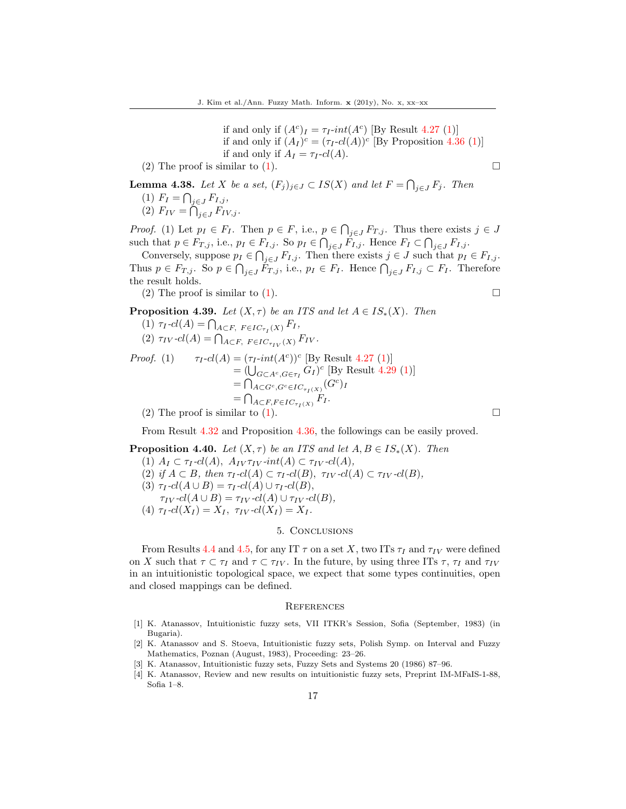if and only if  $(A<sup>c</sup>)<sub>I</sub> = \tau_I$ -int $(A<sup>c</sup>)$  [By Result 4.27 (1)] if and only if  $(A_I)^c = (\tau_I - cl(A))^c$  [By Proposition 4.36 (1)] if and only if  $A_I = \tau_I - cl(A)$ .

(2) The proof is similar to (1).  $\square$ 

**Lemma 4.38.** Let X be a set, 
$$
(F_j)_{j \in J} \subset IS(X)
$$
 and let  $F = \bigcap_{j \in J} F_j$ . Then  
\n(1)  $F_I = \bigcap_{j \in J} F_{I,j}$ ,  
\n(2)  $F_{IV} = \bigcap_{j \in J} F_{IV,j}$ .

*Proof.* (1) Let  $p_I \in F_I$ . Then  $p \in F$ , i.e.,  $p \in \bigcap_{j \in J} F_{T,j}$ . Thus there exists  $j \in J$ such that  $p \in F_{T,j}$ , i.e.,  $p_I \in F_{I,j}$ . So  $p_I \in \bigcap_{j \in J} F_{I,j}$ . Hence  $F_I \subset \bigcap_{j \in J} F_{I,j}$ .

Conversely, suppose  $p_I \in \bigcap_{j \in J} F_{I,j}$ . Then there exists  $j \in J$  such that  $p_I \in F_{I,j}$ . Thus  $p \in F_{T,j}$ . So  $p \in \bigcap_{j \in J} F_{T,j}$ , i.e.,  $p_I \in F_I$ . Hence  $\bigcap_{j \in J} F_{I,j} \subset F_I$ . Therefore the result holds.

(2) The proof is similar to (1).

**Proposition 4.39.** Let 
$$
(X, \tau)
$$
 be an ITS and let  $A \in IS_*(X)$ . Then

(1) 
$$
\tau_I \text{-}cl(A) = \bigcap_{A \subset F, F \in IC_{\tau_I}(X)} F_I,
$$
  
(2)  $\tau_{IV} \text{-}cl(A) = \bigcap_{A \subset F, F \in IC_{\tau_{IV}}(X)} F_{IV}.$ 

*Proof.* (1) 
$$
\tau_I-cl(A) = (\tau_I-int(A^c))^c \text{ [By Result 4.27 (1)]}
$$

$$
= (\bigcup_{G \subset A^c, G \in \tau_I} G_I)^c \text{ [By Result 4.29 (1)]}
$$

$$
= \bigcap_{A \subset G^c, G^c \in IC_{\tau_I(X)}} (G^c)_I
$$

$$
= \bigcap_{A \subset F, F \in IC_{\tau_I(X)}} F_I.
$$

(2) The proof is similar to (1).  $\Box$ 

From Result 4.32 and Proposition 4.36, the followings can be easily proved.

**Proposition 4.40.** Let 
$$
(X, \tau)
$$
 be an ITS and let  $A, B \in IS_*(X)$ . Then  
\n(1)  $A_I \subset \tau_I \text{-}cl(A), A_{IV}\tau_{IV} \text{-}int(A) \subset \tau_{IV} \text{-}cl(A),$   
\n(2) if  $A \subset B$ , then  $\tau_I \text{-}cl(A) \subset \tau_I \text{-}cl(B), \tau_{IV} \text{-}cl(A) \subset \tau_{IV} \text{-}cl(B),$   
\n(3)  $\tau_I \text{-}cl(A \cup B) = \tau_I \text{-}cl(A) \cup \tau_I \text{-}cl(B),$   
\n $\tau_{IV} \text{-}cl(A \cup B) = \tau_{IV} \text{-}cl(A) \cup \tau_{IV} \text{-}cl(B),$   
\n(4)  $\tau_I \text{-}cl(X_I) = X_I, \ \tau_{IV} \text{-}cl(X_I) = X_I.$ 

#### 5. Conclusions

From Results 4.4 and 4.5, for any IT  $\tau$  on a set X, two ITs  $\tau_I$  and  $\tau_{IV}$  were defined on X such that  $\tau \subset \tau_I$  and  $\tau \subset \tau_{IV}$ . In the future, by using three ITs  $\tau$ ,  $\tau_I$  and  $\tau_{IV}$ in an intuitionistic topological space, we expect that some types continuities, open and closed mappings can be defined.

#### **REFERENCES**

- <span id="page-16-0"></span>[1] K. Atanassov, Intuitionistic fuzzy sets, VII ITKR's Session, Sofia (September, 1983) (in Bugaria).
- <span id="page-16-1"></span>[2] K. Atanassov and S. Stoeva, Intuitionistic fuzzy sets, Polish Symp. on Interval and Fuzzy Mathematics, Poznan (August, 1983), Proceeding: 23–26.
- <span id="page-16-2"></span>[3] K. Atanassov, Intuitionistic fuzzy sets, Fuzzy Sets and Systems 20 (1986) 87–96.
- <span id="page-16-3"></span>[4] K. Atanassov, Review and new results on intuitionistic fuzzy sets, Preprint IM-MFaIS-1-88, Sofia 1–8.